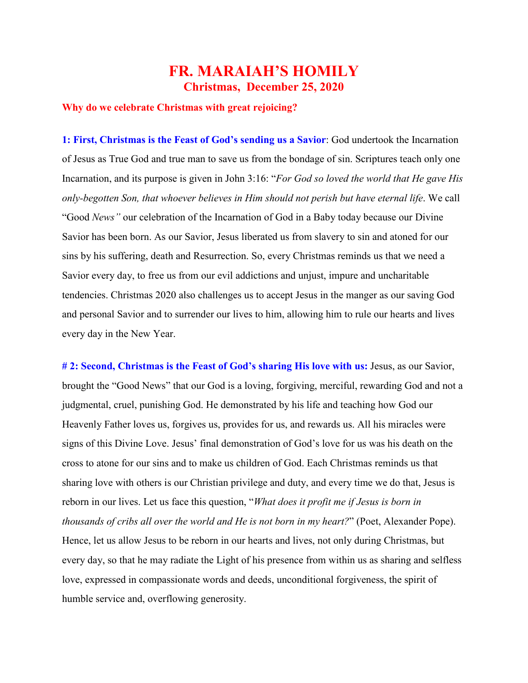## **FR. MARAIAH'S HOMILY Christmas, December 25, 2020**

## **Why do we celebrate Christmas with great rejoicing?**

**1: First, Christmas is the Feast of God's sending us a Savior**: God undertook the Incarnation of Jesus as True God and true man to save us from the bondage of sin. Scriptures teach only one Incarnation, and its purpose is given in John 3:16: "*For God so loved the world that He gave His only-begotten Son, that whoever believes in Him should not perish but have eternal life*. We call "Good *News"* our celebration of the Incarnation of God in a Baby today because our Divine Savior has been born. As our Savior, Jesus liberated us from slavery to sin and atoned for our sins by his suffering, death and Resurrection. So, every Christmas reminds us that we need a Savior every day, to free us from our evil addictions and unjust, impure and uncharitable tendencies. Christmas 2020 also challenges us to accept Jesus in the manger as our saving God and personal Savior and to surrender our lives to him, allowing him to rule our hearts and lives every day in the New Year.

**# 2: Second, Christmas is the Feast of God's sharing His love with us:** Jesus, as our Savior, brought the "Good News" that our God is a loving, forgiving, merciful, rewarding God and not a judgmental, cruel, punishing God. He demonstrated by his life and teaching how God our Heavenly Father loves us, forgives us, provides for us, and rewards us. All his miracles were signs of this Divine Love. Jesus' final demonstration of God's love for us was his death on the cross to atone for our sins and to make us children of God. Each Christmas reminds us that sharing love with others is our Christian privilege and duty, and every time we do that, Jesus is reborn in our lives. Let us face this question, "*What does it profit me if Jesus is born in thousands of cribs all over the world and He is not born in my heart?*" (Poet, Alexander Pope). Hence, let us allow Jesus to be reborn in our hearts and lives, not only during Christmas, but every day, so that he may radiate the Light of his presence from within us as sharing and selfless love, expressed in compassionate words and deeds, unconditional forgiveness, the spirit of humble service and, overflowing generosity.